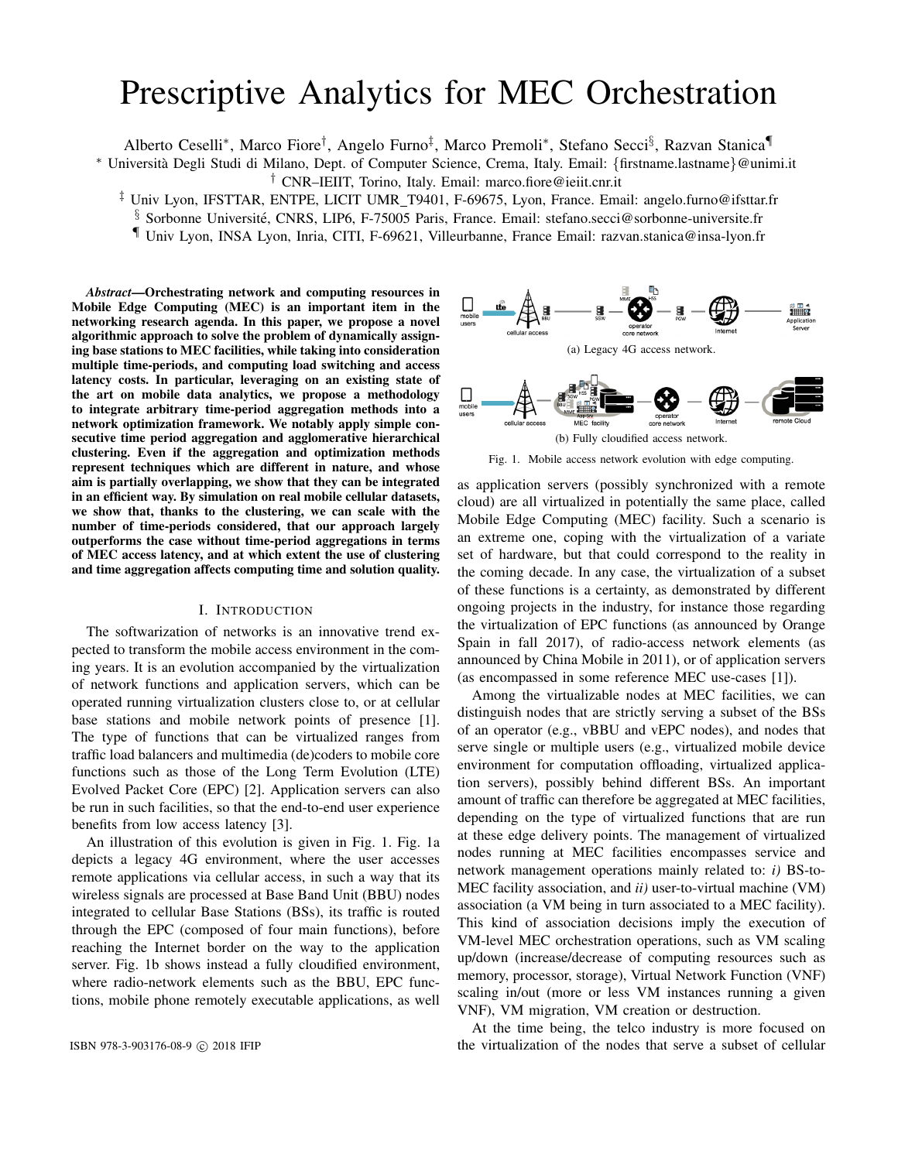# Prescriptive Analytics for MEC Orchestration

Alberto Ceselli\*, Marco Fiore<sup>†</sup>, Angelo Furno<sup>‡</sup>, Marco Premoli\*, Stefano Secci<sup>§</sup>, Razvan Stanica¶

<sup>∗</sup> Universita Degli Studi di Milano, Dept. of Computer Science, Crema, Italy. Email: ` {firstname.lastname}@unimi.it † CNR–IEIIT, Torino, Italy. Email: marco.fiore@ieiit.cnr.it

‡ Univ Lyon, IFSTTAR, ENTPE, LICIT UMR T9401, F-69675, Lyon, France. Email: angelo.furno@ifsttar.fr

§ Sorbonne Université, CNRS, LIP6, F-75005 Paris, France. Email: stefano.secci@sorbonne-universite.fr

¶ Univ Lyon, INSA Lyon, Inria, CITI, F-69621, Villeurbanne, France Email: razvan.stanica@insa-lyon.fr

*Abstract*—Orchestrating network and computing resources in Mobile Edge Computing (MEC) is an important item in the networking research agenda. In this paper, we propose a novel algorithmic approach to solve the problem of dynamically assigning base stations to MEC facilities, while taking into consideration multiple time-periods, and computing load switching and access latency costs. In particular, leveraging on an existing state of the art on mobile data analytics, we propose a methodology to integrate arbitrary time-period aggregation methods into a network optimization framework. We notably apply simple consecutive time period aggregation and agglomerative hierarchical clustering. Even if the aggregation and optimization methods represent techniques which are different in nature, and whose aim is partially overlapping, we show that they can be integrated in an efficient way. By simulation on real mobile cellular datasets, we show that, thanks to the clustering, we can scale with the number of time-periods considered, that our approach largely outperforms the case without time-period aggregations in terms of MEC access latency, and at which extent the use of clustering and time aggregation affects computing time and solution quality.

#### I. INTRODUCTION

The softwarization of networks is an innovative trend expected to transform the mobile access environment in the coming years. It is an evolution accompanied by the virtualization of network functions and application servers, which can be operated running virtualization clusters close to, or at cellular base stations and mobile network points of presence [1]. The type of functions that can be virtualized ranges from traffic load balancers and multimedia (de)coders to mobile core functions such as those of the Long Term Evolution (LTE) Evolved Packet Core (EPC) [2]. Application servers can also be run in such facilities, so that the end-to-end user experience benefits from low access latency [3].

An illustration of this evolution is given in Fig. 1. Fig. 1a depicts a legacy 4G environment, where the user accesses remote applications via cellular access, in such a way that its wireless signals are processed at Base Band Unit (BBU) nodes integrated to cellular Base Stations (BSs), its traffic is routed through the EPC (composed of four main functions), before reaching the Internet border on the way to the application server. Fig. 1b shows instead a fully cloudified environment, where radio-network elements such as the BBU, EPC functions, mobile phone remotely executable applications, as well





Fig. 1. Mobile access network evolution with edge computing.

as application servers (possibly synchronized with a remote cloud) are all virtualized in potentially the same place, called Mobile Edge Computing (MEC) facility. Such a scenario is an extreme one, coping with the virtualization of a variate set of hardware, but that could correspond to the reality in the coming decade. In any case, the virtualization of a subset of these functions is a certainty, as demonstrated by different ongoing projects in the industry, for instance those regarding the virtualization of EPC functions (as announced by Orange Spain in fall 2017), of radio-access network elements (as announced by China Mobile in 2011), or of application servers (as encompassed in some reference MEC use-cases [1]).

Among the virtualizable nodes at MEC facilities, we can distinguish nodes that are strictly serving a subset of the BSs of an operator (e.g., vBBU and vEPC nodes), and nodes that serve single or multiple users (e.g., virtualized mobile device environment for computation offloading, virtualized application servers), possibly behind different BSs. An important amount of traffic can therefore be aggregated at MEC facilities, depending on the type of virtualized functions that are run at these edge delivery points. The management of virtualized nodes running at MEC facilities encompasses service and network management operations mainly related to: *i)* BS-to-MEC facility association, and *ii)* user-to-virtual machine (VM) association (a VM being in turn associated to a MEC facility). This kind of association decisions imply the execution of VM-level MEC orchestration operations, such as VM scaling up/down (increase/decrease of computing resources such as memory, processor, storage), Virtual Network Function (VNF) scaling in/out (more or less VM instances running a given VNF), VM migration, VM creation or destruction.

At the time being, the telco industry is more focused on ISBN 978-3-903176-08-9 © 2018 IFIP the virtualization of the nodes that serve a subset of cellular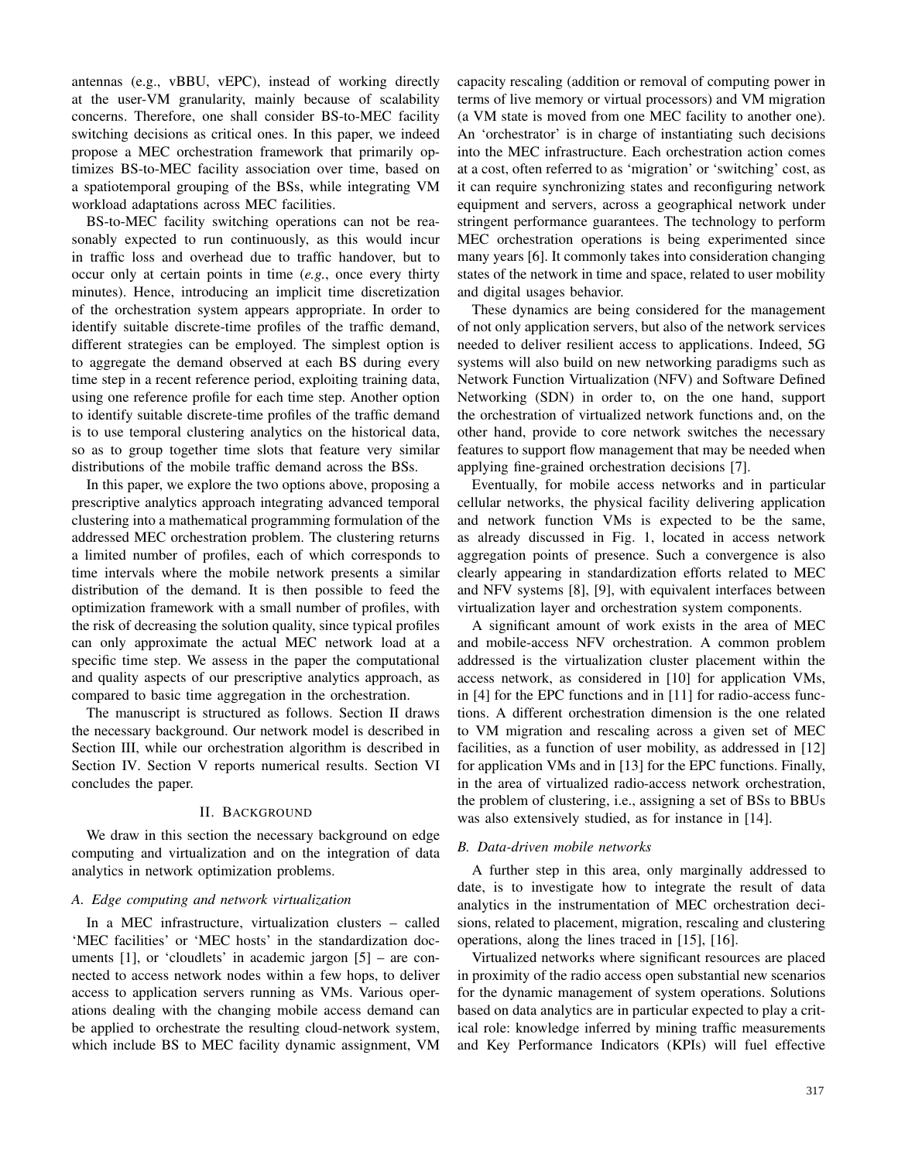antennas (e.g., vBBU, vEPC), instead of working directly at the user-VM granularity, mainly because of scalability concerns. Therefore, one shall consider BS-to-MEC facility switching decisions as critical ones. In this paper, we indeed propose a MEC orchestration framework that primarily optimizes BS-to-MEC facility association over time, based on a spatiotemporal grouping of the BSs, while integrating VM workload adaptations across MEC facilities.

BS-to-MEC facility switching operations can not be reasonably expected to run continuously, as this would incur in traffic loss and overhead due to traffic handover, but to occur only at certain points in time (*e.g.*, once every thirty minutes). Hence, introducing an implicit time discretization of the orchestration system appears appropriate. In order to identify suitable discrete-time profiles of the traffic demand, different strategies can be employed. The simplest option is to aggregate the demand observed at each BS during every time step in a recent reference period, exploiting training data, using one reference profile for each time step. Another option to identify suitable discrete-time profiles of the traffic demand is to use temporal clustering analytics on the historical data, so as to group together time slots that feature very similar distributions of the mobile traffic demand across the BSs.

In this paper, we explore the two options above, proposing a prescriptive analytics approach integrating advanced temporal clustering into a mathematical programming formulation of the addressed MEC orchestration problem. The clustering returns a limited number of profiles, each of which corresponds to time intervals where the mobile network presents a similar distribution of the demand. It is then possible to feed the optimization framework with a small number of profiles, with the risk of decreasing the solution quality, since typical profiles can only approximate the actual MEC network load at a specific time step. We assess in the paper the computational and quality aspects of our prescriptive analytics approach, as compared to basic time aggregation in the orchestration.

The manuscript is structured as follows. Section II draws the necessary background. Our network model is described in Section III, while our orchestration algorithm is described in Section IV. Section V reports numerical results. Section VI concludes the paper.

## II. BACKGROUND

We draw in this section the necessary background on edge computing and virtualization and on the integration of data analytics in network optimization problems.

#### *A. Edge computing and network virtualization*

In a MEC infrastructure, virtualization clusters – called 'MEC facilities' or 'MEC hosts' in the standardization documents [1], or 'cloudlets' in academic jargon [5] – are connected to access network nodes within a few hops, to deliver access to application servers running as VMs. Various operations dealing with the changing mobile access demand can be applied to orchestrate the resulting cloud-network system, which include BS to MEC facility dynamic assignment, VM

capacity rescaling (addition or removal of computing power in terms of live memory or virtual processors) and VM migration (a VM state is moved from one MEC facility to another one). An 'orchestrator' is in charge of instantiating such decisions into the MEC infrastructure. Each orchestration action comes at a cost, often referred to as 'migration' or 'switching' cost, as it can require synchronizing states and reconfiguring network equipment and servers, across a geographical network under stringent performance guarantees. The technology to perform MEC orchestration operations is being experimented since many years [6]. It commonly takes into consideration changing states of the network in time and space, related to user mobility and digital usages behavior.

These dynamics are being considered for the management of not only application servers, but also of the network services needed to deliver resilient access to applications. Indeed, 5G systems will also build on new networking paradigms such as Network Function Virtualization (NFV) and Software Defined Networking (SDN) in order to, on the one hand, support the orchestration of virtualized network functions and, on the other hand, provide to core network switches the necessary features to support flow management that may be needed when applying fine-grained orchestration decisions [7].

Eventually, for mobile access networks and in particular cellular networks, the physical facility delivering application and network function VMs is expected to be the same, as already discussed in Fig. 1, located in access network aggregation points of presence. Such a convergence is also clearly appearing in standardization efforts related to MEC and NFV systems [8], [9], with equivalent interfaces between virtualization layer and orchestration system components.

A significant amount of work exists in the area of MEC and mobile-access NFV orchestration. A common problem addressed is the virtualization cluster placement within the access network, as considered in [10] for application VMs, in [4] for the EPC functions and in [11] for radio-access functions. A different orchestration dimension is the one related to VM migration and rescaling across a given set of MEC facilities, as a function of user mobility, as addressed in [12] for application VMs and in [13] for the EPC functions. Finally, in the area of virtualized radio-access network orchestration, the problem of clustering, i.e., assigning a set of BSs to BBUs was also extensively studied, as for instance in [14].

# *B. Data-driven mobile networks*

A further step in this area, only marginally addressed to date, is to investigate how to integrate the result of data analytics in the instrumentation of MEC orchestration decisions, related to placement, migration, rescaling and clustering operations, along the lines traced in [15], [16].

Virtualized networks where significant resources are placed in proximity of the radio access open substantial new scenarios for the dynamic management of system operations. Solutions based on data analytics are in particular expected to play a critical role: knowledge inferred by mining traffic measurements and Key Performance Indicators (KPIs) will fuel effective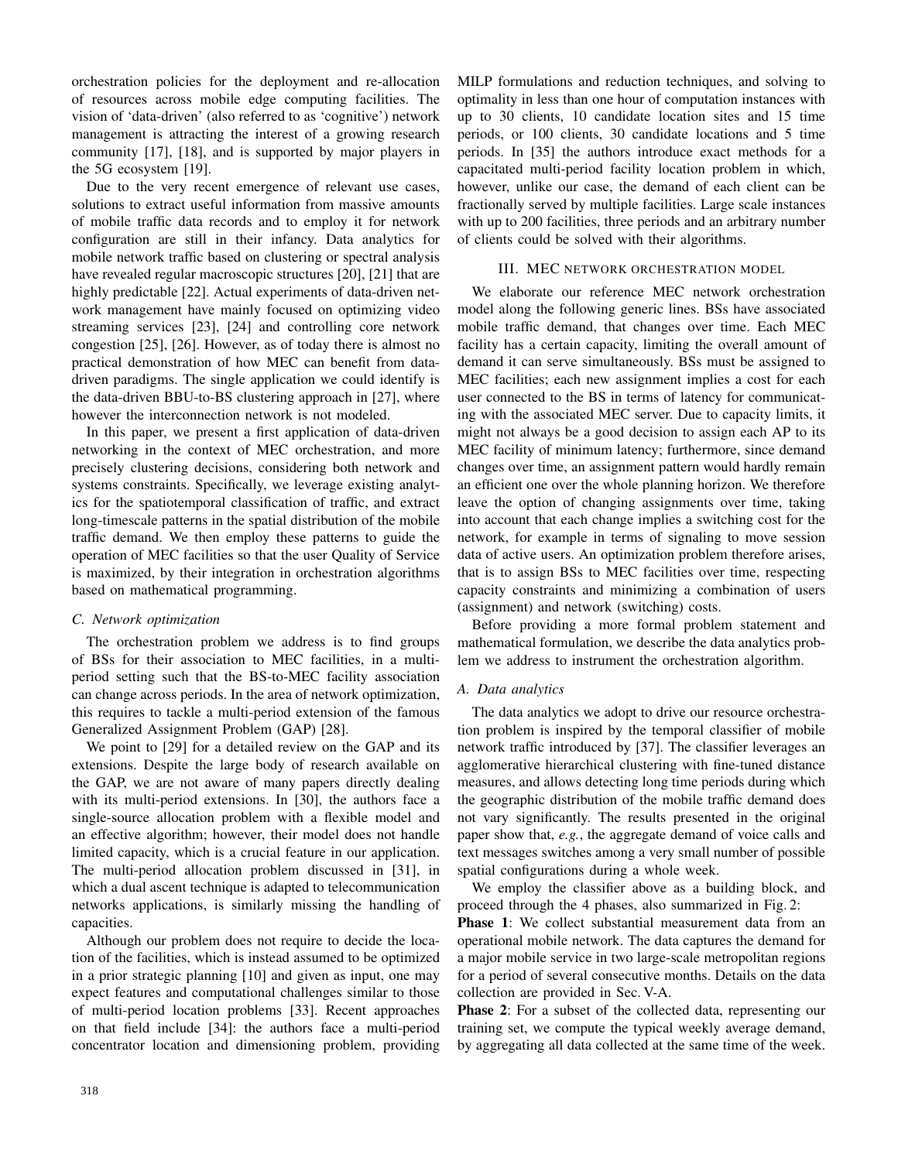orchestration policies for the deployment and re-allocation of resources across mobile edge computing facilities. The vision of 'data-driven' (also referred to as 'cognitive') network management is attracting the interest of a growing research community [17], [18], and is supported by major players in the 5G ecosystem [19].

Due to the very recent emergence of relevant use cases, solutions to extract useful information from massive amounts of mobile traffic data records and to employ it for network configuration are still in their infancy. Data analytics for mobile network traffic based on clustering or spectral analysis have revealed regular macroscopic structures [20], [21] that are highly predictable [22]. Actual experiments of data-driven network management have mainly focused on optimizing video streaming services [23], [24] and controlling core network congestion [25], [26]. However, as of today there is almost no practical demonstration of how MEC can benefit from datadriven paradigms. The single application we could identify is the data-driven BBU-to-BS clustering approach in [27], where however the interconnection network is not modeled.

In this paper, we present a first application of data-driven networking in the context of MEC orchestration, and more precisely clustering decisions, considering both network and systems constraints. Specifically, we leverage existing analytics for the spatiotemporal classification of traffic, and extract long-timescale patterns in the spatial distribution of the mobile traffic demand. We then employ these patterns to guide the operation of MEC facilities so that the user Quality of Service is maximized, by their integration in orchestration algorithms based on mathematical programming.

## *C. Network optimization*

The orchestration problem we address is to find groups of BSs for their association to MEC facilities, in a multiperiod setting such that the BS-to-MEC facility association can change across periods. In the area of network optimization, this requires to tackle a multi-period extension of the famous Generalized Assignment Problem (GAP) [28].

We point to [29] for a detailed review on the GAP and its extensions. Despite the large body of research available on the GAP, we are not aware of many papers directly dealing with its multi-period extensions. In [30], the authors face a single-source allocation problem with a flexible model and an effective algorithm; however, their model does not handle limited capacity, which is a crucial feature in our application. The multi-period allocation problem discussed in [31], in which a dual ascent technique is adapted to telecommunication networks applications, is similarly missing the handling of capacities.

Although our problem does not require to decide the location of the facilities, which is instead assumed to be optimized in a prior strategic planning [10] and given as input, one may expect features and computational challenges similar to those of multi-period location problems [33]. Recent approaches on that field include [34]: the authors face a multi-period concentrator location and dimensioning problem, providing MILP formulations and reduction techniques, and solving to optimality in less than one hour of computation instances with up to 30 clients, 10 candidate location sites and 15 time periods, or 100 clients, 30 candidate locations and 5 time periods. In [35] the authors introduce exact methods for a capacitated multi-period facility location problem in which, however, unlike our case, the demand of each client can be fractionally served by multiple facilities. Large scale instances with up to 200 facilities, three periods and an arbitrary number of clients could be solved with their algorithms.

## III. MEC NETWORK ORCHESTRATION MODEL

We elaborate our reference MEC network orchestration model along the following generic lines. BSs have associated mobile traffic demand, that changes over time. Each MEC facility has a certain capacity, limiting the overall amount of demand it can serve simultaneously. BSs must be assigned to MEC facilities; each new assignment implies a cost for each user connected to the BS in terms of latency for communicating with the associated MEC server. Due to capacity limits, it might not always be a good decision to assign each AP to its MEC facility of minimum latency; furthermore, since demand changes over time, an assignment pattern would hardly remain an efficient one over the whole planning horizon. We therefore leave the option of changing assignments over time, taking into account that each change implies a switching cost for the network, for example in terms of signaling to move session data of active users. An optimization problem therefore arises, that is to assign BSs to MEC facilities over time, respecting capacity constraints and minimizing a combination of users (assignment) and network (switching) costs.

Before providing a more formal problem statement and mathematical formulation, we describe the data analytics problem we address to instrument the orchestration algorithm.

## *A. Data analytics*

The data analytics we adopt to drive our resource orchestration problem is inspired by the temporal classifier of mobile network traffic introduced by [37]. The classifier leverages an agglomerative hierarchical clustering with fine-tuned distance measures, and allows detecting long time periods during which the geographic distribution of the mobile traffic demand does not vary significantly. The results presented in the original paper show that, *e.g.*, the aggregate demand of voice calls and text messages switches among a very small number of possible spatial configurations during a whole week.

We employ the classifier above as a building block, and proceed through the 4 phases, also summarized in Fig. 2:

Phase 1: We collect substantial measurement data from an operational mobile network. The data captures the demand for a major mobile service in two large-scale metropolitan regions for a period of several consecutive months. Details on the data collection are provided in Sec. V-A.

Phase 2: For a subset of the collected data, representing our training set, we compute the typical weekly average demand, by aggregating all data collected at the same time of the week.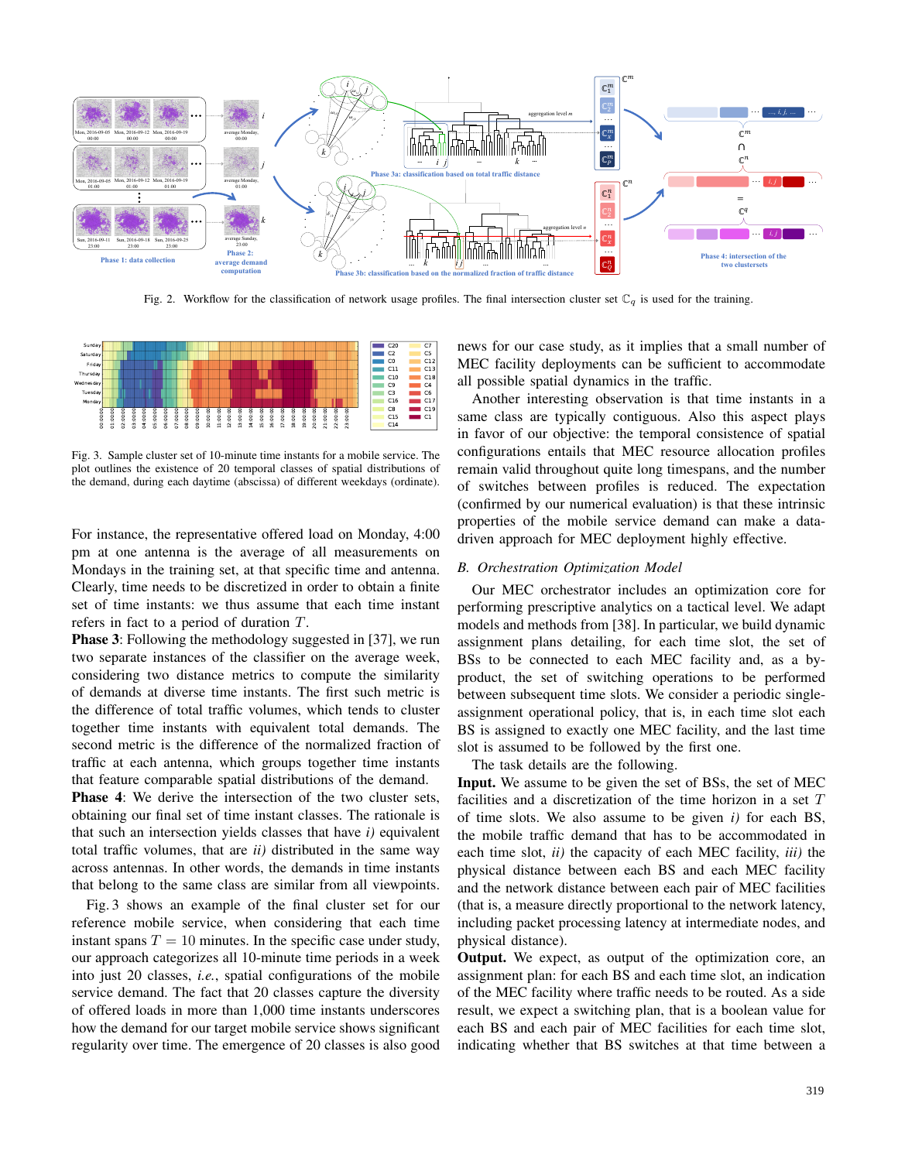

Fig. 2. Workflow for the classification of network usage profiles. The final intersection cluster set  $\mathbb{C}_q$  is used for the training.



Fig. 3. Sample cluster set of 10-minute time instants for a mobile service. The plot outlines the existence of 20 temporal classes of spatial distributions of the demand, during each daytime (abscissa) of different weekdays (ordinate).

For instance, the representative offered load on Monday, 4:00 pm at one antenna is the average of all measurements on Mondays in the training set, at that specific time and antenna. Clearly, time needs to be discretized in order to obtain a finite set of time instants: we thus assume that each time instant refers in fact to a period of duration T.

Phase 3: Following the methodology suggested in [37], we run two separate instances of the classifier on the average week, considering two distance metrics to compute the similarity of demands at diverse time instants. The first such metric is the difference of total traffic volumes, which tends to cluster together time instants with equivalent total demands. The second metric is the difference of the normalized fraction of traffic at each antenna, which groups together time instants that feature comparable spatial distributions of the demand.

Phase 4: We derive the intersection of the two cluster sets, obtaining our final set of time instant classes. The rationale is that such an intersection yields classes that have *i)* equivalent total traffic volumes, that are *ii)* distributed in the same way across antennas. In other words, the demands in time instants that belong to the same class are similar from all viewpoints.

Fig. 3 shows an example of the final cluster set for our reference mobile service, when considering that each time instant spans  $T = 10$  minutes. In the specific case under study, our approach categorizes all 10-minute time periods in a week into just 20 classes, *i.e.*, spatial configurations of the mobile service demand. The fact that 20 classes capture the diversity of offered loads in more than 1,000 time instants underscores how the demand for our target mobile service shows significant regularity over time. The emergence of 20 classes is also good news for our case study, as it implies that a small number of MEC facility deployments can be sufficient to accommodate all possible spatial dynamics in the traffic.

Another interesting observation is that time instants in a same class are typically contiguous. Also this aspect plays in favor of our objective: the temporal consistence of spatial configurations entails that MEC resource allocation profiles remain valid throughout quite long timespans, and the number of switches between profiles is reduced. The expectation (confirmed by our numerical evaluation) is that these intrinsic properties of the mobile service demand can make a datadriven approach for MEC deployment highly effective.

## *B. Orchestration Optimization Model*

Our MEC orchestrator includes an optimization core for performing prescriptive analytics on a tactical level. We adapt models and methods from [38]. In particular, we build dynamic assignment plans detailing, for each time slot, the set of BSs to be connected to each MEC facility and, as a byproduct, the set of switching operations to be performed between subsequent time slots. We consider a periodic singleassignment operational policy, that is, in each time slot each BS is assigned to exactly one MEC facility, and the last time slot is assumed to be followed by the first one.

The task details are the following.

Input. We assume to be given the set of BSs, the set of MEC facilities and a discretization of the time horizon in a set  $T$ of time slots. We also assume to be given *i)* for each BS, the mobile traffic demand that has to be accommodated in each time slot, *ii)* the capacity of each MEC facility, *iii)* the physical distance between each BS and each MEC facility and the network distance between each pair of MEC facilities (that is, a measure directly proportional to the network latency, including packet processing latency at intermediate nodes, and physical distance).

Output. We expect, as output of the optimization core, an assignment plan: for each BS and each time slot, an indication of the MEC facility where traffic needs to be routed. As a side result, we expect a switching plan, that is a boolean value for each BS and each pair of MEC facilities for each time slot, indicating whether that BS switches at that time between a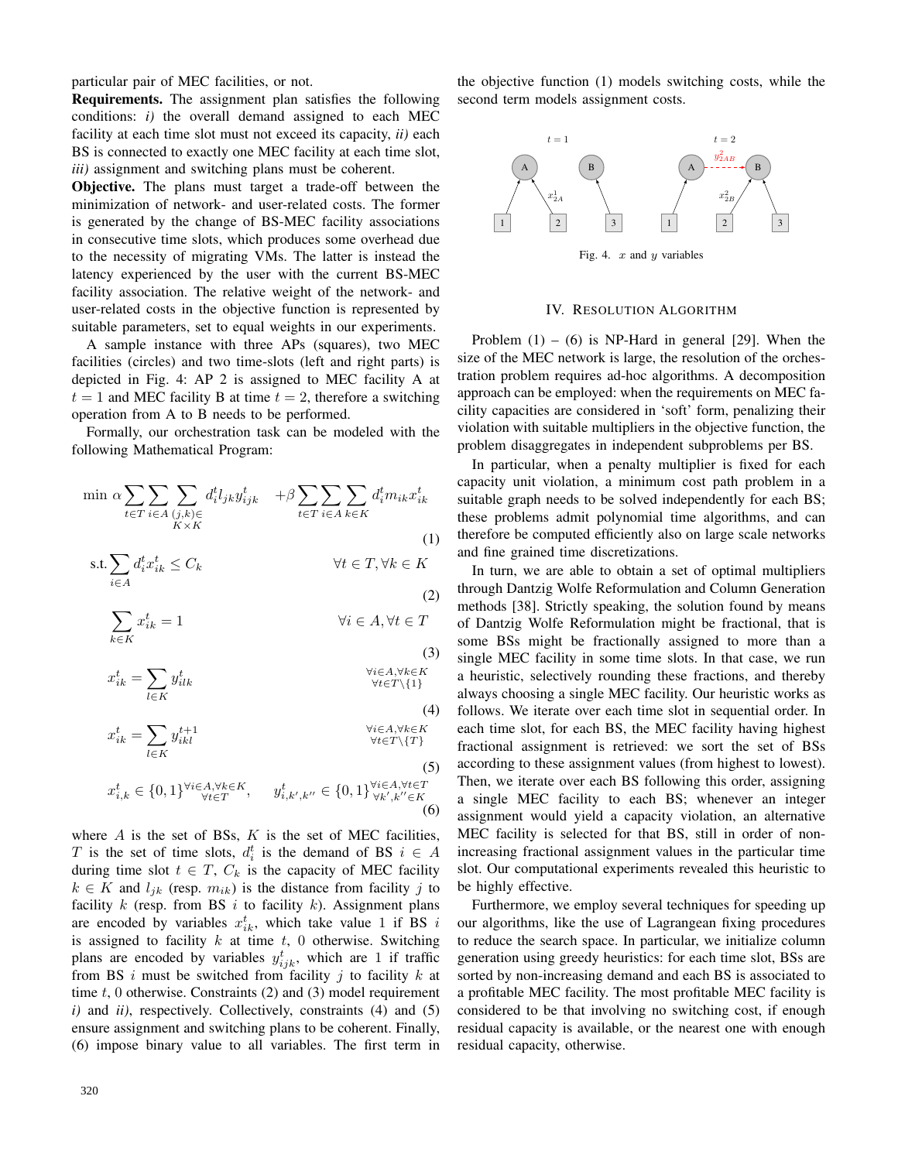particular pair of MEC facilities, or not.

Requirements. The assignment plan satisfies the following conditions: *i)* the overall demand assigned to each MEC facility at each time slot must not exceed its capacity, *ii)* each BS is connected to exactly one MEC facility at each time slot, *iii)* assignment and switching plans must be coherent.

Objective. The plans must target a trade-off between the minimization of network- and user-related costs. The former is generated by the change of BS-MEC facility associations in consecutive time slots, which produces some overhead due to the necessity of migrating VMs. The latter is instead the latency experienced by the user with the current BS-MEC facility association. The relative weight of the network- and user-related costs in the objective function is represented by suitable parameters, set to equal weights in our experiments.

A sample instance with three APs (squares), two MEC facilities (circles) and two time-slots (left and right parts) is depicted in Fig. 4: AP 2 is assigned to MEC facility A at  $t = 1$  and MEC facility B at time  $t = 2$ , therefore a switching operation from A to B needs to be performed.

Formally, our orchestration task can be modeled with the following Mathematical Program:

$$
\min \alpha \sum_{t \in T} \sum_{i \in A} \sum_{\substack{(j,k) \in \\ K \times K}} d_i^t l_{jk} y_{ijk}^t + \beta \sum_{t \in T} \sum_{i \in A} \sum_{k \in K} d_i^t m_{ik} x_{ik}^t
$$
\n(1)

$$
\text{s.t.} \sum_{i \in A} d_i^t x_{ik}^t \le C_k \qquad \forall t \in T, \forall k \in K
$$
\n
$$
(2)
$$

$$
\sum_{k \in K} x_{ik}^t = 1 \qquad \qquad \forall i \in A, \forall t \in T
$$

(3)  

$$
x_{ik}^t = \sum_{l \in K} y_{ilk}^t \qquad \qquad \forall i \in A, \forall k \in K
$$

$$
\forall i \in T \setminus \{1\}
$$

(4)  

$$
x_{ik}^t = \sum y_{ikl}^{t+1} y_{ikl}^{t+1}
$$

$$
\forall i \in A, \forall k \in K
$$

$$
\forall t \in T \setminus \{T\}
$$

(5)  

$$
x_{i,k}^t \in \{0,1\}^{\forall i \in A, \forall k \in K}, \quad y_{i,k',k''}^t \in \{0,1\}^{\forall i \in A, \forall t \in T}_{\forall k',k'' \in K}
$$
\n(6)

where  $A$  is the set of BSs,  $K$  is the set of MEC facilities, T is the set of time slots,  $d_i^t$  is the demand of BS  $i \in A$ during time slot  $t \in T$ ,  $C_k$  is the capacity of MEC facility  $k \in K$  and  $l_{ik}$  (resp.  $m_{ik}$ ) is the distance from facility j to facility  $k$  (resp. from BS  $i$  to facility  $k$ ). Assignment plans are encoded by variables  $x_{ik}^t$ , which take value 1 if BS i is assigned to facility  $k$  at time  $t$ , 0 otherwise. Switching plans are encoded by variables  $y_{ijk}^t$ , which are 1 if traffic from BS i must be switched from facility j to facility  $k$  at time  $t$ , 0 otherwise. Constraints (2) and (3) model requirement *i)* and *ii)*, respectively. Collectively, constraints (4) and (5) ensure assignment and switching plans to be coherent. Finally, (6) impose binary value to all variables. The first term in the objective function (1) models switching costs, while the second term models assignment costs.



#### IV. RESOLUTION ALGORITHM

Problem  $(1) - (6)$  is NP-Hard in general [29]. When the size of the MEC network is large, the resolution of the orchestration problem requires ad-hoc algorithms. A decomposition approach can be employed: when the requirements on MEC facility capacities are considered in 'soft' form, penalizing their violation with suitable multipliers in the objective function, the problem disaggregates in independent subproblems per BS.

In particular, when a penalty multiplier is fixed for each capacity unit violation, a minimum cost path problem in a suitable graph needs to be solved independently for each BS; these problems admit polynomial time algorithms, and can therefore be computed efficiently also on large scale networks and fine grained time discretizations.

In turn, we are able to obtain a set of optimal multipliers through Dantzig Wolfe Reformulation and Column Generation methods [38]. Strictly speaking, the solution found by means of Dantzig Wolfe Reformulation might be fractional, that is some BSs might be fractionally assigned to more than a single MEC facility in some time slots. In that case, we run a heuristic, selectively rounding these fractions, and thereby always choosing a single MEC facility. Our heuristic works as follows. We iterate over each time slot in sequential order. In each time slot, for each BS, the MEC facility having highest fractional assignment is retrieved: we sort the set of BSs according to these assignment values (from highest to lowest). Then, we iterate over each BS following this order, assigning a single MEC facility to each BS; whenever an integer assignment would yield a capacity violation, an alternative MEC facility is selected for that BS, still in order of nonincreasing fractional assignment values in the particular time slot. Our computational experiments revealed this heuristic to be highly effective.

Furthermore, we employ several techniques for speeding up our algorithms, like the use of Lagrangean fixing procedures to reduce the search space. In particular, we initialize column generation using greedy heuristics: for each time slot, BSs are sorted by non-increasing demand and each BS is associated to a profitable MEC facility. The most profitable MEC facility is considered to be that involving no switching cost, if enough residual capacity is available, or the nearest one with enough residual capacity, otherwise.

 $\mathfrak{X}$ 

l∈K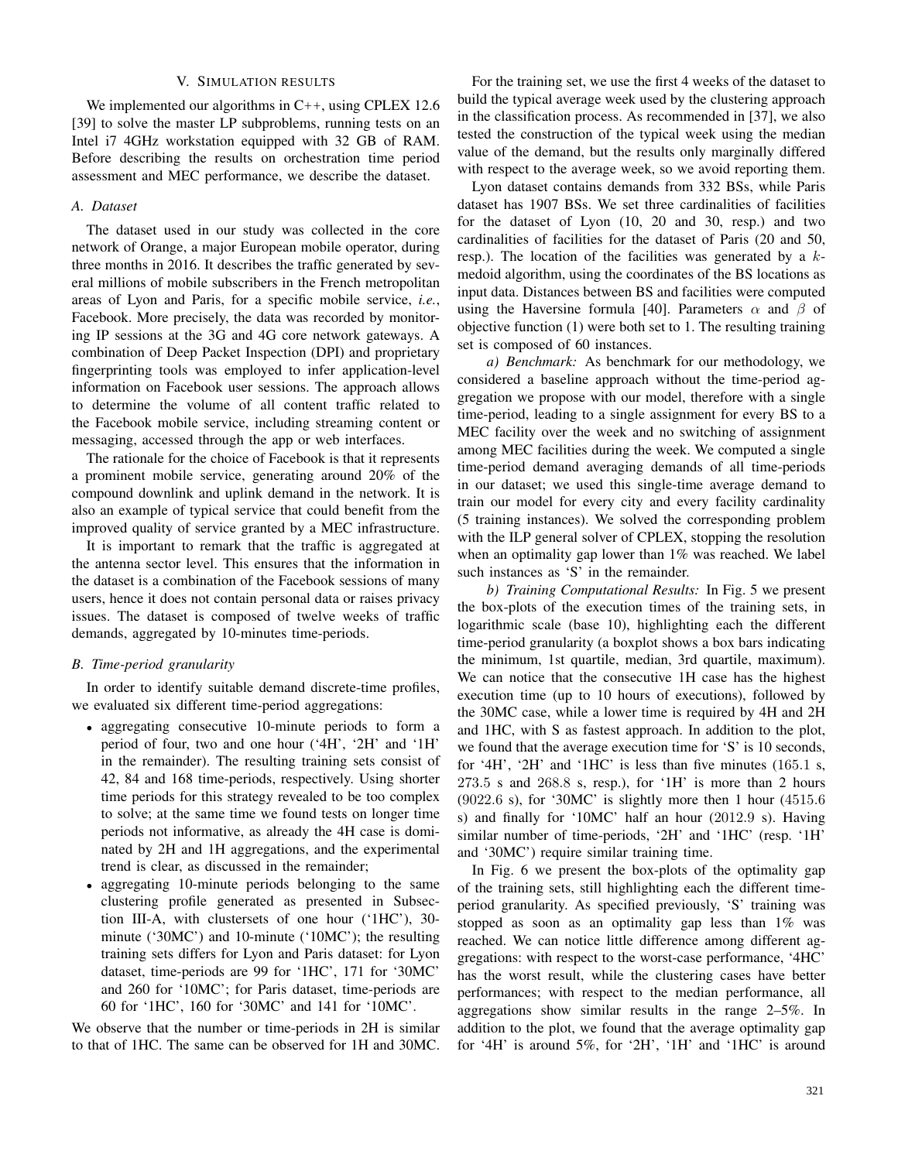## V. SIMULATION RESULTS

We implemented our algorithms in  $C_{++}$ , using CPLEX 12.6 [39] to solve the master LP subproblems, running tests on an Intel i7 4GHz workstation equipped with 32 GB of RAM. Before describing the results on orchestration time period assessment and MEC performance, we describe the dataset.

# *A. Dataset*

The dataset used in our study was collected in the core network of Orange, a major European mobile operator, during three months in 2016. It describes the traffic generated by several millions of mobile subscribers in the French metropolitan areas of Lyon and Paris, for a specific mobile service, *i.e.*, Facebook. More precisely, the data was recorded by monitoring IP sessions at the 3G and 4G core network gateways. A combination of Deep Packet Inspection (DPI) and proprietary fingerprinting tools was employed to infer application-level information on Facebook user sessions. The approach allows to determine the volume of all content traffic related to the Facebook mobile service, including streaming content or messaging, accessed through the app or web interfaces.

The rationale for the choice of Facebook is that it represents a prominent mobile service, generating around 20% of the compound downlink and uplink demand in the network. It is also an example of typical service that could benefit from the improved quality of service granted by a MEC infrastructure.

It is important to remark that the traffic is aggregated at the antenna sector level. This ensures that the information in the dataset is a combination of the Facebook sessions of many users, hence it does not contain personal data or raises privacy issues. The dataset is composed of twelve weeks of traffic demands, aggregated by 10-minutes time-periods.

## *B. Time-period granularity*

In order to identify suitable demand discrete-time profiles, we evaluated six different time-period aggregations:

- aggregating consecutive 10-minute periods to form a period of four, two and one hour ('4H', '2H' and '1H' in the remainder). The resulting training sets consist of 42, 84 and 168 time-periods, respectively. Using shorter time periods for this strategy revealed to be too complex to solve; at the same time we found tests on longer time periods not informative, as already the 4H case is dominated by 2H and 1H aggregations, and the experimental trend is clear, as discussed in the remainder;
- aggregating 10-minute periods belonging to the same clustering profile generated as presented in Subsection III-A, with clustersets of one hour ('1HC'), 30 minute ('30MC') and 10-minute ('10MC'); the resulting training sets differs for Lyon and Paris dataset: for Lyon dataset, time-periods are 99 for '1HC', 171 for '30MC' and 260 for '10MC'; for Paris dataset, time-periods are 60 for '1HC', 160 for '30MC' and 141 for '10MC'.

We observe that the number or time-periods in 2H is similar to that of 1HC. The same can be observed for 1H and 30MC.

For the training set, we use the first 4 weeks of the dataset to build the typical average week used by the clustering approach in the classification process. As recommended in [37], we also tested the construction of the typical week using the median value of the demand, but the results only marginally differed with respect to the average week, so we avoid reporting them.

Lyon dataset contains demands from 332 BSs, while Paris dataset has 1907 BSs. We set three cardinalities of facilities for the dataset of Lyon (10, 20 and 30, resp.) and two cardinalities of facilities for the dataset of Paris (20 and 50, resp.). The location of the facilities was generated by a  $k$ medoid algorithm, using the coordinates of the BS locations as input data. Distances between BS and facilities were computed using the Haversine formula [40]. Parameters  $\alpha$  and  $\beta$  of objective function (1) were both set to 1. The resulting training set is composed of 60 instances.

*a) Benchmark:* As benchmark for our methodology, we considered a baseline approach without the time-period aggregation we propose with our model, therefore with a single time-period, leading to a single assignment for every BS to a MEC facility over the week and no switching of assignment among MEC facilities during the week. We computed a single time-period demand averaging demands of all time-periods in our dataset; we used this single-time average demand to train our model for every city and every facility cardinality (5 training instances). We solved the corresponding problem with the ILP general solver of CPLEX, stopping the resolution when an optimality gap lower than 1% was reached. We label such instances as 'S' in the remainder.

*b) Training Computational Results:* In Fig. 5 we present the box-plots of the execution times of the training sets, in logarithmic scale (base 10), highlighting each the different time-period granularity (a boxplot shows a box bars indicating the minimum, 1st quartile, median, 3rd quartile, maximum). We can notice that the consecutive 1H case has the highest execution time (up to 10 hours of executions), followed by the 30MC case, while a lower time is required by 4H and 2H and 1HC, with S as fastest approach. In addition to the plot, we found that the average execution time for 'S' is 10 seconds, for '4H', '2H' and '1HC' is less than five minutes (165.1 s, 273.5 s and 268.8 s, resp.), for '1H' is more than 2 hours  $(9022.6 \text{ s})$ , for '30MC' is slightly more then 1 hour  $(4515.6 \text{ s})$ s) and finally for '10MC' half an hour (2012.9 s). Having similar number of time-periods, '2H' and '1HC' (resp. '1H' and '30MC') require similar training time.

In Fig. 6 we present the box-plots of the optimality gap of the training sets, still highlighting each the different timeperiod granularity. As specified previously, 'S' training was stopped as soon as an optimality gap less than 1% was reached. We can notice little difference among different aggregations: with respect to the worst-case performance, '4HC' has the worst result, while the clustering cases have better performances; with respect to the median performance, all aggregations show similar results in the range 2–5%. In addition to the plot, we found that the average optimality gap for '4H' is around 5%, for '2H', '1H' and '1HC' is around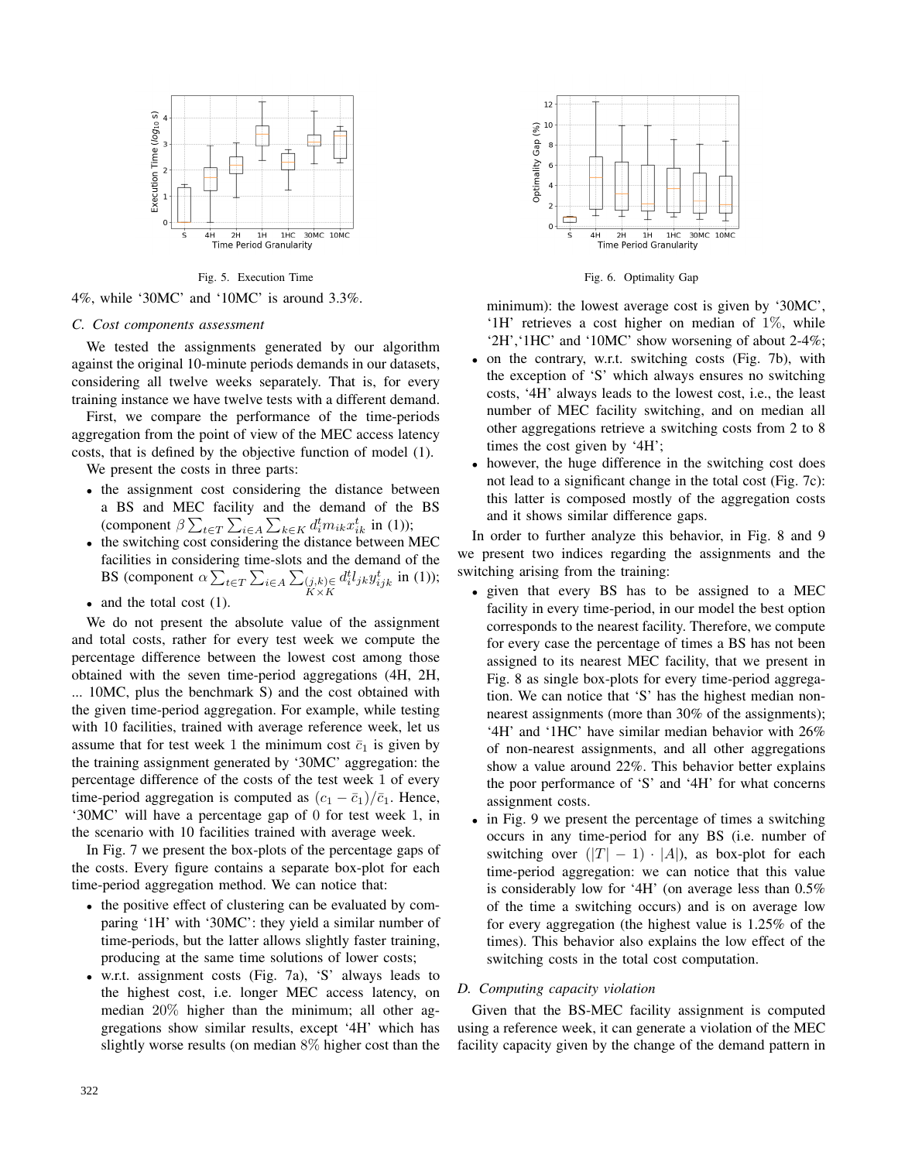

Fig. 5. Execution Time

4%, while '30MC' and '10MC' is around 3.3%.

## *C. Cost components assessment*

We tested the assignments generated by our algorithm against the original 10-minute periods demands in our datasets, considering all twelve weeks separately. That is, for every training instance we have twelve tests with a different demand.

First, we compare the performance of the time-periods aggregation from the point of view of the MEC access latency costs, that is defined by the objective function of model (1).

We present the costs in three parts:

- the assignment cost considering the distance between a BS and MEC facility and the demand of the BS (component  $\beta \sum_{t \in T} \sum_{i \in A} \sum_{k \in K} d_i^t m_{ik} x_{ik}^t$  in (1));
- the switching cost considering the distance between MEC facilities in considering time-slots and the demand of the BS (component  $\alpha \sum_{t \in T} \sum_{i \in A} \sum_{\substack{(j,k) \in K \times K}}$  $d_i^t l_{jk} y_{ijk}^t$  in (1));
- and the total cost (1).

We do not present the absolute value of the assignment and total costs, rather for every test week we compute the percentage difference between the lowest cost among those obtained with the seven time-period aggregations (4H, 2H, ... 10MC, plus the benchmark S) and the cost obtained with the given time-period aggregation. For example, while testing with 10 facilities, trained with average reference week, let us assume that for test week 1 the minimum cost  $\bar{c}_1$  is given by the training assignment generated by '30MC' aggregation: the percentage difference of the costs of the test week 1 of every time-period aggregation is computed as  $(c_1 - \bar{c}_1)/\bar{c}_1$ . Hence, '30MC' will have a percentage gap of 0 for test week 1, in the scenario with 10 facilities trained with average week.

In Fig. 7 we present the box-plots of the percentage gaps of the costs. Every figure contains a separate box-plot for each time-period aggregation method. We can notice that:

- the positive effect of clustering can be evaluated by comparing '1H' with '30MC': they yield a similar number of time-periods, but the latter allows slightly faster training, producing at the same time solutions of lower costs;
- w.r.t. assignment costs (Fig. 7a), 'S' always leads to the highest cost, i.e. longer MEC access latency, on median 20% higher than the minimum; all other aggregations show similar results, except '4H' which has slightly worse results (on median 8% higher cost than the



Fig. 6. Optimality Gap

minimum): the lowest average cost is given by '30MC', '1H' retrieves a cost higher on median of 1%, while '2H','1HC' and '10MC' show worsening of about 2-4%;

- on the contrary, w.r.t. switching costs (Fig. 7b), with the exception of 'S' which always ensures no switching costs, '4H' always leads to the lowest cost, i.e., the least number of MEC facility switching, and on median all other aggregations retrieve a switching costs from 2 to 8 times the cost given by '4H';
- however, the huge difference in the switching cost does not lead to a significant change in the total cost (Fig. 7c): this latter is composed mostly of the aggregation costs and it shows similar difference gaps.

In order to further analyze this behavior, in Fig. 8 and 9 we present two indices regarding the assignments and the switching arising from the training:

- given that every BS has to be assigned to a MEC facility in every time-period, in our model the best option corresponds to the nearest facility. Therefore, we compute for every case the percentage of times a BS has not been assigned to its nearest MEC facility, that we present in Fig. 8 as single box-plots for every time-period aggregation. We can notice that 'S' has the highest median nonnearest assignments (more than 30% of the assignments); '4H' and '1HC' have similar median behavior with 26% of non-nearest assignments, and all other aggregations show a value around 22%. This behavior better explains the poor performance of 'S' and '4H' for what concerns assignment costs.
- in Fig. 9 we present the percentage of times a switching occurs in any time-period for any BS (i.e. number of switching over  $(|T| - 1) \cdot |A|$ , as box-plot for each time-period aggregation: we can notice that this value is considerably low for '4H' (on average less than 0.5% of the time a switching occurs) and is on average low for every aggregation (the highest value is 1.25% of the times). This behavior also explains the low effect of the switching costs in the total cost computation.

## *D. Computing capacity violation*

Given that the BS-MEC facility assignment is computed using a reference week, it can generate a violation of the MEC facility capacity given by the change of the demand pattern in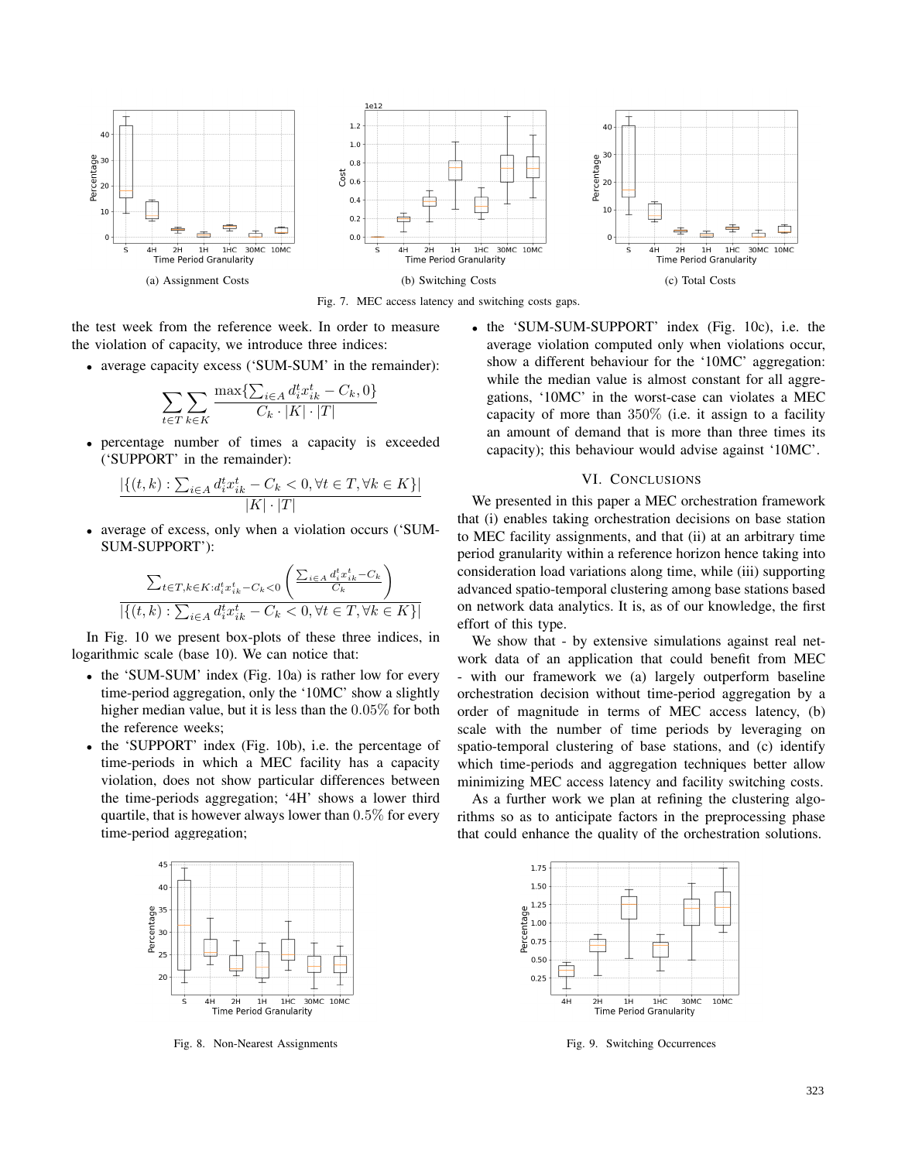



the test week from the reference week. In order to measure the violation of capacity, we introduce three indices:

• average capacity excess ('SUM-SUM' in the remainder):

$$
\sum_{t \in T} \sum_{k \in K} \frac{\max\{\sum_{i \in A} d_i^t x_{ik}^t - C_k, 0\}}{C_k \cdot |K| \cdot |T|}
$$

• percentage number of times a capacity is exceeded ('SUPPORT' in the remainder):

$$
\frac{|\{(t,k): \sum_{i\in A} d_i^t x_{ik}^t - C_k < 0, \forall t \in T, \forall k \in K\}|}{|K| \cdot |T|}
$$

• average of excess, only when a violation occurs ('SUM-SUM-SUPPORT'):

$$
\frac{\sum_{t \in T, k \in K: d_i^t x_{ik}^t - C_k < 0} \left( \frac{\sum_{i \in A} d_i^t x_{ik}^t - C_k}{C_k} \right)}{\left| \left\{ (t, k) : \sum_{i \in A} d_i^t x_{ik}^t - C_k < 0, \forall t \in T, \forall k \in K \right\} \right|}
$$

In Fig. 10 we present box-plots of these three indices, in logarithmic scale (base 10). We can notice that:

- the 'SUM-SUM' index (Fig. 10a) is rather low for every time-period aggregation, only the '10MC' show a slightly higher median value, but it is less than the 0.05% for both the reference weeks;
- the 'SUPPORT' index (Fig. 10b), i.e. the percentage of time-periods in which a MEC facility has a capacity violation, does not show particular differences between the time-periods aggregation; '4H' shows a lower third quartile, that is however always lower than 0.5% for every time-period aggregation;



Fig. 8. Non-Nearest Assignments

• the 'SUM-SUM-SUPPORT' index (Fig. 10c), i.e. the average violation computed only when violations occur, show a different behaviour for the '10MC' aggregation: while the median value is almost constant for all aggregations, '10MC' in the worst-case can violates a MEC capacity of more than  $350\%$  (i.e. it assign to a facility an amount of demand that is more than three times its capacity); this behaviour would advise against '10MC'.

## VI. CONCLUSIONS

We presented in this paper a MEC orchestration framework that (i) enables taking orchestration decisions on base station to MEC facility assignments, and that (ii) at an arbitrary time period granularity within a reference horizon hence taking into consideration load variations along time, while (iii) supporting advanced spatio-temporal clustering among base stations based on network data analytics. It is, as of our knowledge, the first effort of this type.

We show that - by extensive simulations against real network data of an application that could benefit from MEC with our framework we (a) largely outperform baseline orchestration decision without time-period aggregation by a order of magnitude in terms of MEC access latency, (b) scale with the number of time periods by leveraging on spatio-temporal clustering of base stations, and (c) identify which time-periods and aggregation techniques better allow minimizing MEC access latency and facility switching costs.

As a further work we plan at refining the clustering algorithms so as to anticipate factors in the preprocessing phase that could enhance the quality of the orchestration solutions.



Fig. 9. Switching Occurrences